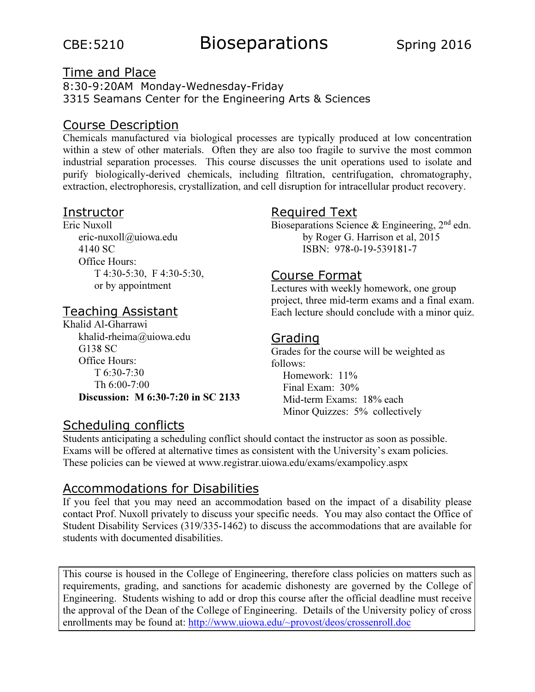# CBE:5210 Bioseparations Spring 2016

#### Time and Place 8:30-9:20AM Monday-Wednesday-Friday 3315 Seamans Center for the Engineering Arts & Sciences

## Course Description

Chemicals manufactured via biological processes are typically produced at low concentration within a stew of other materials. Often they are also too fragile to survive the most common industrial separation processes. This course discusses the unit operations used to isolate and purify biologically-derived chemicals, including filtration, centrifugation, chromatography, extraction, electrophoresis, crystallization, and cell disruption for intracellular product recovery.

### **Instructor**

Eric Nuxoll eric-nuxoll@uiowa.edu 4140 SC Office Hours: T 4:30-5:30, F 4:30-5:30, or by appointment

### Teaching Assistant

Khalid Al-Gharrawi khalid-rheima@uiowa.edu G138 SC Office Hours: T 6:30-7:30 Th 6:00-7:00 Discussion: M 6:30-7:20 in SC 2133

### Scheduling conflicts

# Required Text

Bioseparations Science & Engineering,  $2<sup>nd</sup>$  edn. by Roger G. Harrison et al, 2015 ISBN: 978-0-19-539181-7

### Course Format

Lectures with weekly homework, one group project, three mid-term exams and a final exam. Each lecture should conclude with a minor quiz.

# Grading

Grades for the course will be weighted as follows: Homework: 11% Final Exam: 30% Mid-term Exams: 18% each Minor Quizzes: 5% collectively

Students anticipating a scheduling conflict should contact the instructor as soon as possible. Exams will be offered at alternative times as consistent with the University's exam policies. These policies can be viewed at www.registrar.uiowa.edu/exams/exampolicy.aspx

### Accommodations for Disabilities

If you feel that you may need an accommodation based on the impact of a disability please contact Prof. Nuxoll privately to discuss your specific needs. You may also contact the Office of Student Disability Services (319/335-1462) to discuss the accommodations that are available for students with documented disabilities.

This course is housed in the College of Engineering, therefore class policies on matters such as requirements, grading, and sanctions for academic dishonesty are governed by the College of Engineering. Students wishing to add or drop this course after the official deadline must receive the approval of the Dean of the College of Engineering. Details of the University policy of cross enrollments may be found at: http://www.uiowa.edu/~provost/deos/crossenroll.doc